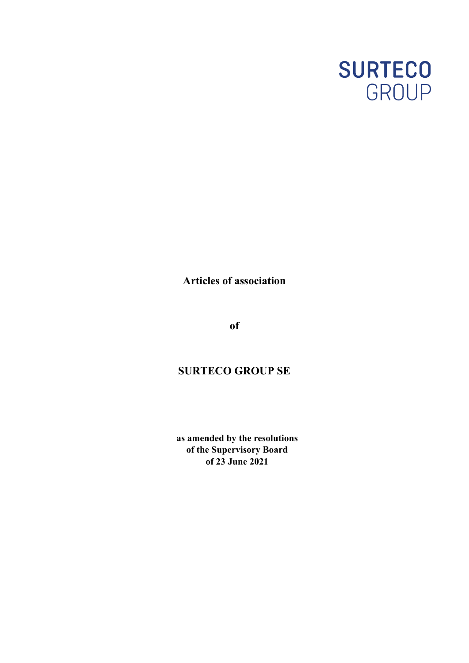

**Articles of association**

**of**

# **SURTECO GROUP SE**

**as amended by the resolutions of the Supervisory Board of 23 June 2021**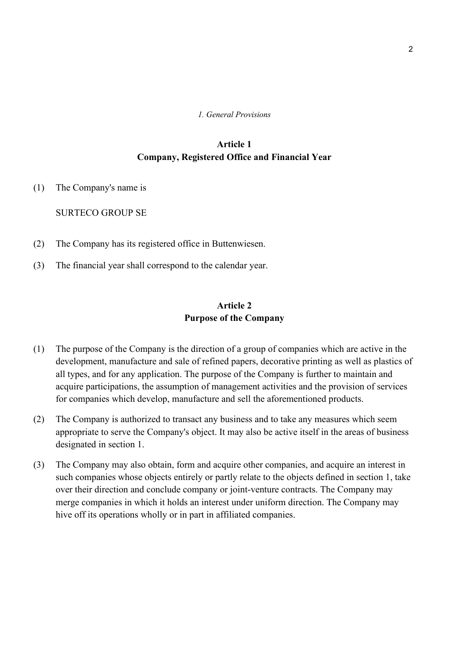#### *1. General Provisions*

## **Article 1 Company, Registered Office and Financial Year**

(1) The Company's name is

SURTECO GROUP SE

- (2) The Company has its registered office in Buttenwiesen.
- (3) The financial year shall correspond to the calendar year.

## **Article 2 Purpose of the Company**

- (1) The purpose of the Company is the direction of a group of companies which are active in the development, manufacture and sale of refined papers, decorative printing as well as plastics of all types, and for any application. The purpose of the Company is further to maintain and acquire participations, the assumption of management activities and the provision of services for companies which develop, manufacture and sell the aforementioned products.
- (2) The Company is authorized to transact any business and to take any measures which seem appropriate to serve the Company's object. It may also be active itself in the areas of business designated in section 1.
- (3) The Company may also obtain, form and acquire other companies, and acquire an interest in such companies whose objects entirely or partly relate to the objects defined in section 1, take over their direction and conclude company or joint-venture contracts. The Company may merge companies in which it holds an interest under uniform direction. The Company may hive off its operations wholly or in part in affiliated companies.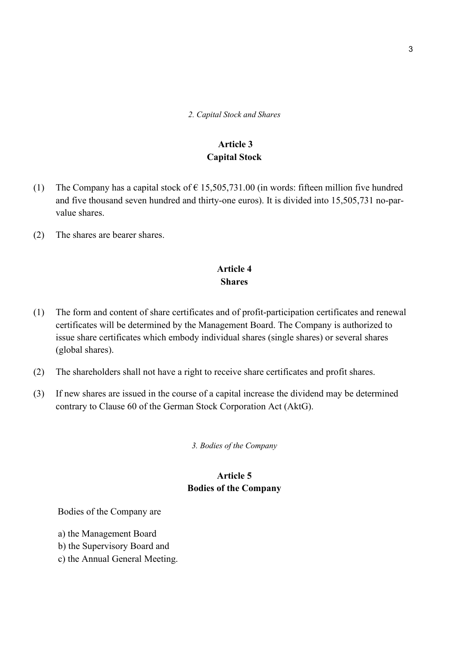*2. Capital Stock and Shares*

## **Article 3 Capital Stock**

- (1) The Company has a capital stock of  $\epsilon$  15,505,731.00 (in words: fifteen million five hundred and five thousand seven hundred and thirty-one euros). It is divided into 15,505,731 no-parvalue shares.
- (2) The shares are bearer shares.

#### **Article 4 Shares**

- (1) The form and content of share certificates and of profit-participation certificates and renewal certificates will be determined by the Management Board. The Company is authorized to issue share certificates which embody individual shares (single shares) or several shares (global shares).
- (2) The shareholders shall not have a right to receive share certificates and profit shares.
- (3) If new shares are issued in the course of a capital increase the dividend may be determined contrary to Clause 60 of the German Stock Corporation Act (AktG).

*3. Bodies of the Company*

## **Article 5 Bodies of the Company**

Bodies of the Company are

a) the Management Board

- b) the Supervisory Board and
- c) the Annual General Meeting.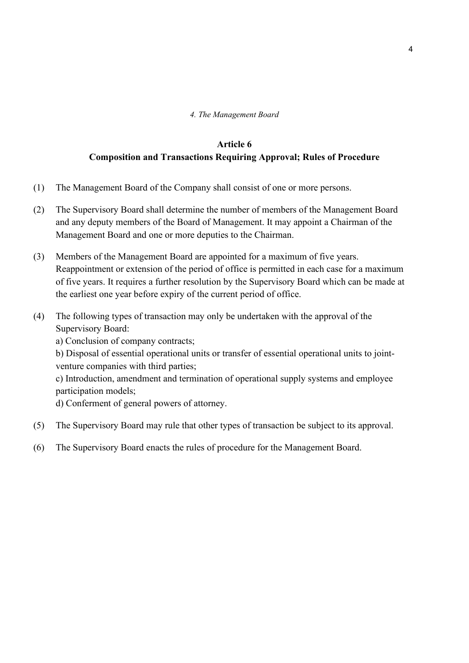*4. The Management Board*

## **Article 6 Composition and Transactions Requiring Approval; Rules of Procedure**

- (1) The Management Board of the Company shall consist of one or more persons.
- (2) The Supervisory Board shall determine the number of members of the Management Board and any deputy members of the Board of Management. It may appoint a Chairman of the Management Board and one or more deputies to the Chairman.
- (3) Members of the Management Board are appointed for a maximum of five years. Reappointment or extension of the period of office is permitted in each case for a maximum of five years. It requires a further resolution by the Supervisory Board which can be made at the earliest one year before expiry of the current period of office.
- (4) The following types of transaction may only be undertaken with the approval of the Supervisory Board:

a) Conclusion of company contracts;

b) Disposal of essential operational units or transfer of essential operational units to jointventure companies with third parties;

c) Introduction, amendment and termination of operational supply systems and employee participation models;

d) Conferment of general powers of attorney.

- (5) The Supervisory Board may rule that other types of transaction be subject to its approval.
- (6) The Supervisory Board enacts the rules of procedure for the Management Board.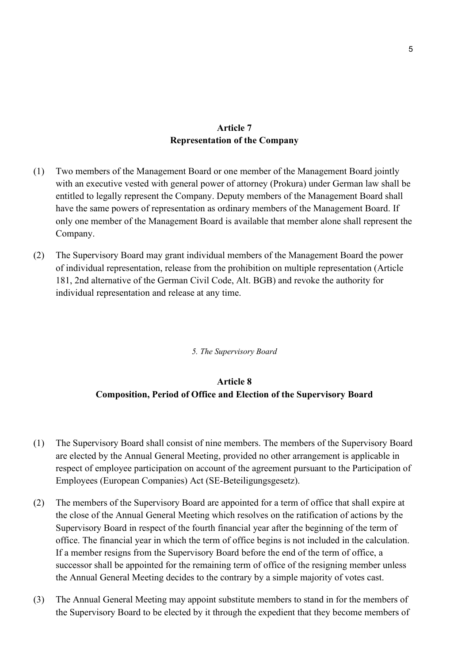#### **Article 7 Representation of the Company**

- (1) Two members of the Management Board or one member of the Management Board jointly with an executive vested with general power of attorney (Prokura) under German law shall be entitled to legally represent the Company. Deputy members of the Management Board shall have the same powers of representation as ordinary members of the Management Board. If only one member of the Management Board is available that member alone shall represent the Company.
- (2) The Supervisory Board may grant individual members of the Management Board the power of individual representation, release from the prohibition on multiple representation (Article 181, 2nd alternative of the German Civil Code, Alt. BGB) and revoke the authority for individual representation and release at any time.

#### *5. The Supervisory Board*

## **Article 8 Composition, Period of Office and Election of the Supervisory Board**

- (1) The Supervisory Board shall consist of nine members. The members of the Supervisory Board are elected by the Annual General Meeting, provided no other arrangement is applicable in respect of employee participation on account of the agreement pursuant to the Participation of Employees (European Companies) Act (SE-Beteiligungsgesetz).
- (2) The members of the Supervisory Board are appointed for a term of office that shall expire at the close of the Annual General Meeting which resolves on the ratification of actions by the Supervisory Board in respect of the fourth financial year after the beginning of the term of office. The financial year in which the term of office begins is not included in the calculation. If a member resigns from the Supervisory Board before the end of the term of office, a successor shall be appointed for the remaining term of office of the resigning member unless the Annual General Meeting decides to the contrary by a simple majority of votes cast.
- (3) The Annual General Meeting may appoint substitute members to stand in for the members of the Supervisory Board to be elected by it through the expedient that they become members of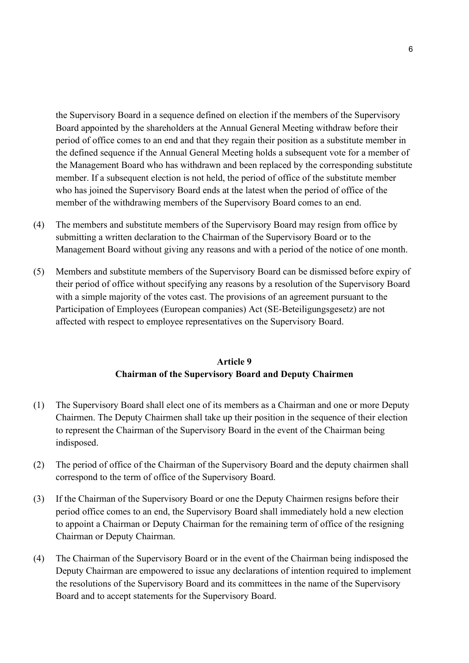the Supervisory Board in a sequence defined on election if the members of the Supervisory Board appointed by the shareholders at the Annual General Meeting withdraw before their period of office comes to an end and that they regain their position as a substitute member in the defined sequence if the Annual General Meeting holds a subsequent vote for a member of the Management Board who has withdrawn and been replaced by the corresponding substitute member. If a subsequent election is not held, the period of office of the substitute member who has joined the Supervisory Board ends at the latest when the period of office of the member of the withdrawing members of the Supervisory Board comes to an end.

- (4) The members and substitute members of the Supervisory Board may resign from office by submitting a written declaration to the Chairman of the Supervisory Board or to the Management Board without giving any reasons and with a period of the notice of one month.
- (5) Members and substitute members of the Supervisory Board can be dismissed before expiry of their period of office without specifying any reasons by a resolution of the Supervisory Board with a simple majority of the votes cast. The provisions of an agreement pursuant to the Participation of Employees (European companies) Act (SE-Beteiligungsgesetz) are not affected with respect to employee representatives on the Supervisory Board.

## **Article 9 Chairman of the Supervisory Board and Deputy Chairmen**

- (1) The Supervisory Board shall elect one of its members as a Chairman and one or more Deputy Chairmen. The Deputy Chairmen shall take up their position in the sequence of their election to represent the Chairman of the Supervisory Board in the event of the Chairman being indisposed.
- (2) The period of office of the Chairman of the Supervisory Board and the deputy chairmen shall correspond to the term of office of the Supervisory Board.
- (3) If the Chairman of the Supervisory Board or one the Deputy Chairmen resigns before their period office comes to an end, the Supervisory Board shall immediately hold a new election to appoint a Chairman or Deputy Chairman for the remaining term of office of the resigning Chairman or Deputy Chairman.
- (4) The Chairman of the Supervisory Board or in the event of the Chairman being indisposed the Deputy Chairman are empowered to issue any declarations of intention required to implement the resolutions of the Supervisory Board and its committees in the name of the Supervisory Board and to accept statements for the Supervisory Board.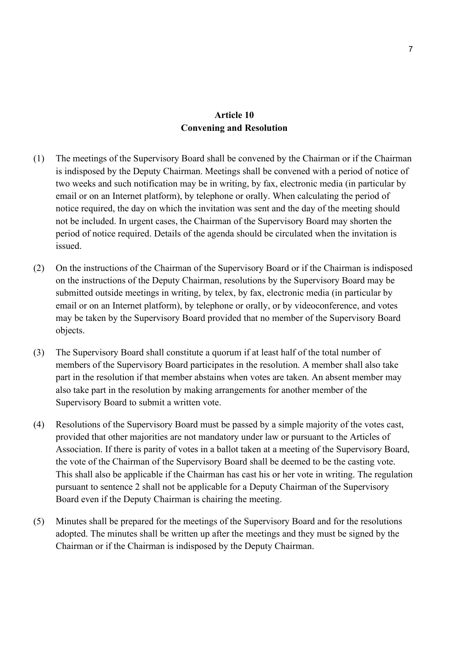## **Article 10 Convening and Resolution**

- (1) The meetings of the Supervisory Board shall be convened by the Chairman or if the Chairman is indisposed by the Deputy Chairman. Meetings shall be convened with a period of notice of two weeks and such notification may be in writing, by fax, electronic media (in particular by email or on an Internet platform), by telephone or orally. When calculating the period of notice required, the day on which the invitation was sent and the day of the meeting should not be included. In urgent cases, the Chairman of the Supervisory Board may shorten the period of notice required. Details of the agenda should be circulated when the invitation is issued.
- (2) On the instructions of the Chairman of the Supervisory Board or if the Chairman is indisposed on the instructions of the Deputy Chairman, resolutions by the Supervisory Board may be submitted outside meetings in writing, by telex, by fax, electronic media (in particular by email or on an Internet platform), by telephone or orally, or by videoconference, and votes may be taken by the Supervisory Board provided that no member of the Supervisory Board objects.
- (3) The Supervisory Board shall constitute a quorum if at least half of the total number of members of the Supervisory Board participates in the resolution. A member shall also take part in the resolution if that member abstains when votes are taken. An absent member may also take part in the resolution by making arrangements for another member of the Supervisory Board to submit a written vote.
- (4) Resolutions of the Supervisory Board must be passed by a simple majority of the votes cast, provided that other majorities are not mandatory under law or pursuant to the Articles of Association. If there is parity of votes in a ballot taken at a meeting of the Supervisory Board, the vote of the Chairman of the Supervisory Board shall be deemed to be the casting vote. This shall also be applicable if the Chairman has cast his or her vote in writing. The regulation pursuant to sentence 2 shall not be applicable for a Deputy Chairman of the Supervisory Board even if the Deputy Chairman is chairing the meeting.
- (5) Minutes shall be prepared for the meetings of the Supervisory Board and for the resolutions adopted. The minutes shall be written up after the meetings and they must be signed by the Chairman or if the Chairman is indisposed by the Deputy Chairman.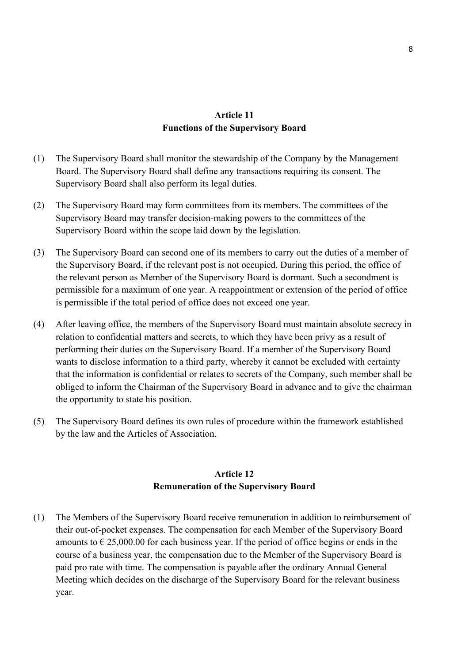### **Article 11 Functions of the Supervisory Board**

- (1) The Supervisory Board shall monitor the stewardship of the Company by the Management Board. The Supervisory Board shall define any transactions requiring its consent. The Supervisory Board shall also perform its legal duties.
- (2) The Supervisory Board may form committees from its members. The committees of the Supervisory Board may transfer decision-making powers to the committees of the Supervisory Board within the scope laid down by the legislation.
- (3) The Supervisory Board can second one of its members to carry out the duties of a member of the Supervisory Board, if the relevant post is not occupied. During this period, the office of the relevant person as Member of the Supervisory Board is dormant. Such a secondment is permissible for a maximum of one year. A reappointment or extension of the period of office is permissible if the total period of office does not exceed one year.
- (4) After leaving office, the members of the Supervisory Board must maintain absolute secrecy in relation to confidential matters and secrets, to which they have been privy as a result of performing their duties on the Supervisory Board. If a member of the Supervisory Board wants to disclose information to a third party, whereby it cannot be excluded with certainty that the information is confidential or relates to secrets of the Company, such member shall be obliged to inform the Chairman of the Supervisory Board in advance and to give the chairman the opportunity to state his position.
- (5) The Supervisory Board defines its own rules of procedure within the framework established by the law and the Articles of Association.

## **Article 12 Remuneration of the Supervisory Board**

(1) The Members of the Supervisory Board receive remuneration in addition to reimbursement of their out-of-pocket expenses. The compensation for each Member of the Supervisory Board amounts to  $\epsilon$  25,000.00 for each business year. If the period of office begins or ends in the course of a business year, the compensation due to the Member of the Supervisory Board is paid pro rate with time. The compensation is payable after the ordinary Annual General Meeting which decides on the discharge of the Supervisory Board for the relevant business year.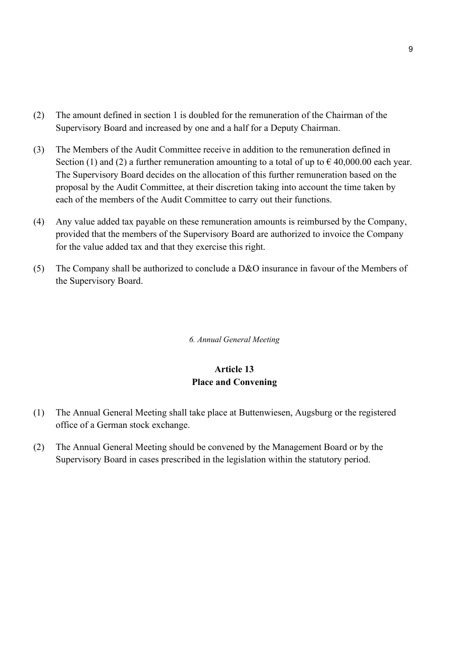- (2) The amount defined in section 1 is doubled for the remuneration of the Chairman of the Supervisory Board and increased by one and a half for a Deputy Chairman.
- (3) The Members of the Audit Committee receive in addition to the remuneration defined in Section (1) and (2) a further remuneration amounting to a total of up to  $\epsilon$  40,000.00 each year. The Supervisory Board decides on the allocation of this further remuneration based on the proposal by the Audit Committee, at their discretion taking into account the time taken by each of the members of the Audit Committee to carry out their functions.
- (4) Any value added tax payable on these remuneration amounts is reimbursed by the Company, provided that the members of the Supervisory Board are authorized to invoice the Company for the value added tax and that they exercise this right.
- (5) The Company shall be authorized to conclude a D&O insurance in favour of the Members of the Supervisory Board.

*6. Annual General Meeting*

## **Article 13 Place and Convening**

- (1) The Annual General Meeting shall take place at Buttenwiesen, Augsburg or the registered office of a German stock exchange.
- (2) The Annual General Meeting should be convened by the Management Board or by the Supervisory Board in cases prescribed in the legislation within the statutory period.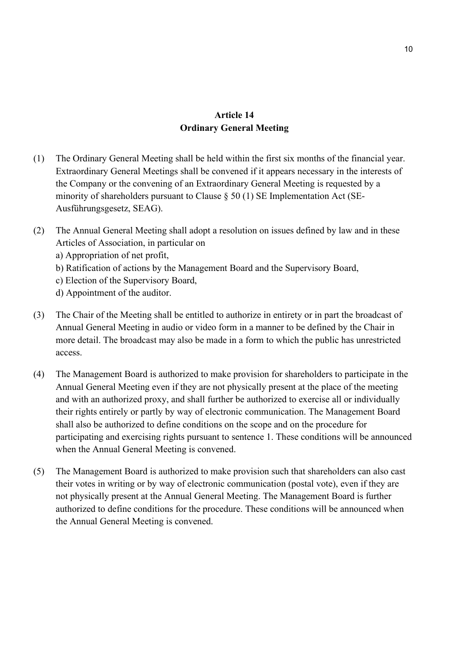### **Article 14 Ordinary General Meeting**

- (1) The Ordinary General Meeting shall be held within the first six months of the financial year. Extraordinary General Meetings shall be convened if it appears necessary in the interests of the Company or the convening of an Extraordinary General Meeting is requested by a minority of shareholders pursuant to Clause  $\S 50 (1)$  SE Implementation Act (SE-Ausführungsgesetz, SEAG).
- (2) The Annual General Meeting shall adopt a resolution on issues defined by law and in these Articles of Association, in particular on a) Appropriation of net profit,
	- b) Ratification of actions by the Management Board and the Supervisory Board,
	- c) Election of the Supervisory Board,
	- d) Appointment of the auditor.
- (3) The Chair of the Meeting shall be entitled to authorize in entirety or in part the broadcast of Annual General Meeting in audio or video form in a manner to be defined by the Chair in more detail. The broadcast may also be made in a form to which the public has unrestricted access.
- (4) The Management Board is authorized to make provision for shareholders to participate in the Annual General Meeting even if they are not physically present at the place of the meeting and with an authorized proxy, and shall further be authorized to exercise all or individually their rights entirely or partly by way of electronic communication. The Management Board shall also be authorized to define conditions on the scope and on the procedure for participating and exercising rights pursuant to sentence 1. These conditions will be announced when the Annual General Meeting is convened.
- (5) The Management Board is authorized to make provision such that shareholders can also cast their votes in writing or by way of electronic communication (postal vote), even if they are not physically present at the Annual General Meeting. The Management Board is further authorized to define conditions for the procedure. These conditions will be announced when the Annual General Meeting is convened.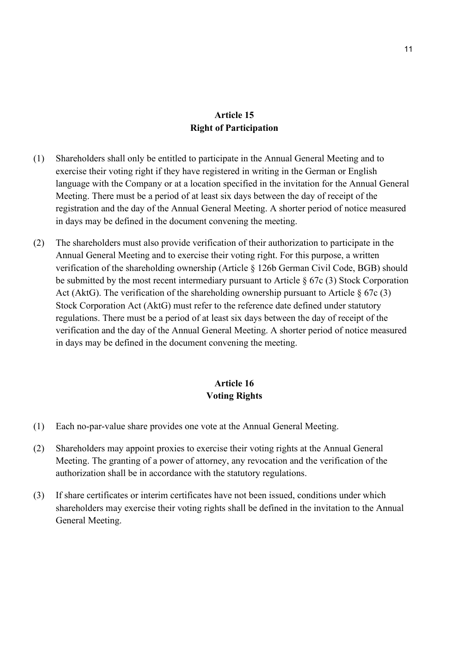## **Article 15 Right of Participation**

- (1) Shareholders shall only be entitled to participate in the Annual General Meeting and to exercise their voting right if they have registered in writing in the German or English language with the Company or at a location specified in the invitation for the Annual General Meeting. There must be a period of at least six days between the day of receipt of the registration and the day of the Annual General Meeting. A shorter period of notice measured in days may be defined in the document convening the meeting.
- (2) The shareholders must also provide verification of their authorization to participate in the Annual General Meeting and to exercise their voting right. For this purpose, a written verification of the shareholding ownership (Article § 126b German Civil Code, BGB) should be submitted by the most recent intermediary pursuant to Article  $\S$  67c (3) Stock Corporation Act (AktG). The verification of the shareholding ownership pursuant to Article  $\S 67c (3)$ Stock Corporation Act (AktG) must refer to the reference date defined under statutory regulations. There must be a period of at least six days between the day of receipt of the verification and the day of the Annual General Meeting. A shorter period of notice measured in days may be defined in the document convening the meeting.

## **Article 16 Voting Rights**

- (1) Each no-par-value share provides one vote at the Annual General Meeting.
- (2) Shareholders may appoint proxies to exercise their voting rights at the Annual General Meeting. The granting of a power of attorney, any revocation and the verification of the authorization shall be in accordance with the statutory regulations.
- (3) If share certificates or interim certificates have not been issued, conditions under which shareholders may exercise their voting rights shall be defined in the invitation to the Annual General Meeting.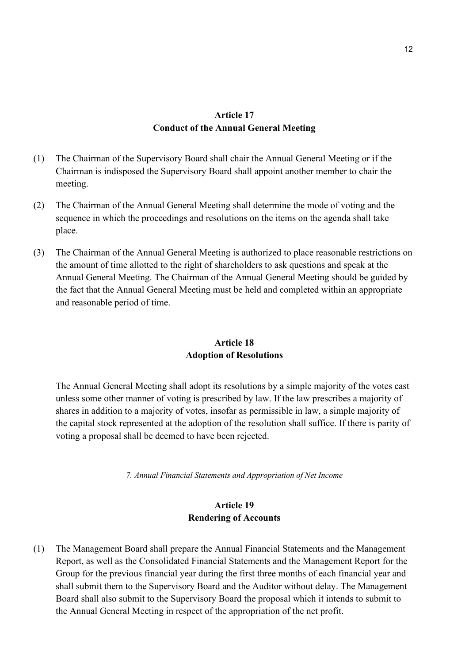## **Article 17 Conduct of the Annual General Meeting**

- (1) The Chairman of the Supervisory Board shall chair the Annual General Meeting or if the Chairman is indisposed the Supervisory Board shall appoint another member to chair the meeting.
- (2) The Chairman of the Annual General Meeting shall determine the mode of voting and the sequence in which the proceedings and resolutions on the items on the agenda shall take place.
- (3) The Chairman of the Annual General Meeting is authorized to place reasonable restrictions on the amount of time allotted to the right of shareholders to ask questions and speak at the Annual General Meeting. The Chairman of the Annual General Meeting should be guided by the fact that the Annual General Meeting must be held and completed within an appropriate and reasonable period of time.

## **Article 18 Adoption of Resolutions**

The Annual General Meeting shall adopt its resolutions by a simple majority of the votes cast unless some other manner of voting is prescribed by law. If the law prescribes a majority of shares in addition to a majority of votes, insofar as permissible in law, a simple majority of the capital stock represented at the adoption of the resolution shall suffice. If there is parity of voting a proposal shall be deemed to have been rejected.

*7. Annual Financial Statements and Appropriation of Net Income*

## **Article 19 Rendering of Accounts**

(1) The Management Board shall prepare the Annual Financial Statements and the Management Report, as well as the Consolidated Financial Statements and the Management Report for the Group for the previous financial year during the first three months of each financial year and shall submit them to the Supervisory Board and the Auditor without delay. The Management Board shall also submit to the Supervisory Board the proposal which it intends to submit to the Annual General Meeting in respect of the appropriation of the net profit.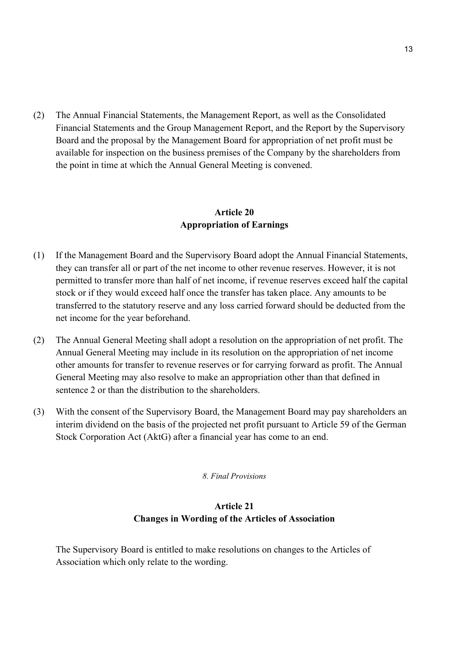(2) The Annual Financial Statements, the Management Report, as well as the Consolidated Financial Statements and the Group Management Report, and the Report by the Supervisory Board and the proposal by the Management Board for appropriation of net profit must be available for inspection on the business premises of the Company by the shareholders from the point in time at which the Annual General Meeting is convened.

## **Article 20 Appropriation of Earnings**

- (1) If the Management Board and the Supervisory Board adopt the Annual Financial Statements, they can transfer all or part of the net income to other revenue reserves. However, it is not permitted to transfer more than half of net income, if revenue reserves exceed half the capital stock or if they would exceed half once the transfer has taken place. Any amounts to be transferred to the statutory reserve and any loss carried forward should be deducted from the net income for the year beforehand.
- (2) The Annual General Meeting shall adopt a resolution on the appropriation of net profit. The Annual General Meeting may include in its resolution on the appropriation of net income other amounts for transfer to revenue reserves or for carrying forward as profit. The Annual General Meeting may also resolve to make an appropriation other than that defined in sentence 2 or than the distribution to the shareholders.
- (3) With the consent of the Supervisory Board, the Management Board may pay shareholders an interim dividend on the basis of the projected net profit pursuant to Article 59 of the German Stock Corporation Act (AktG) after a financial year has come to an end.

#### *8. Final Provisions*

## **Article 21 Changes in Wording of the Articles of Association**

The Supervisory Board is entitled to make resolutions on changes to the Articles of Association which only relate to the wording.